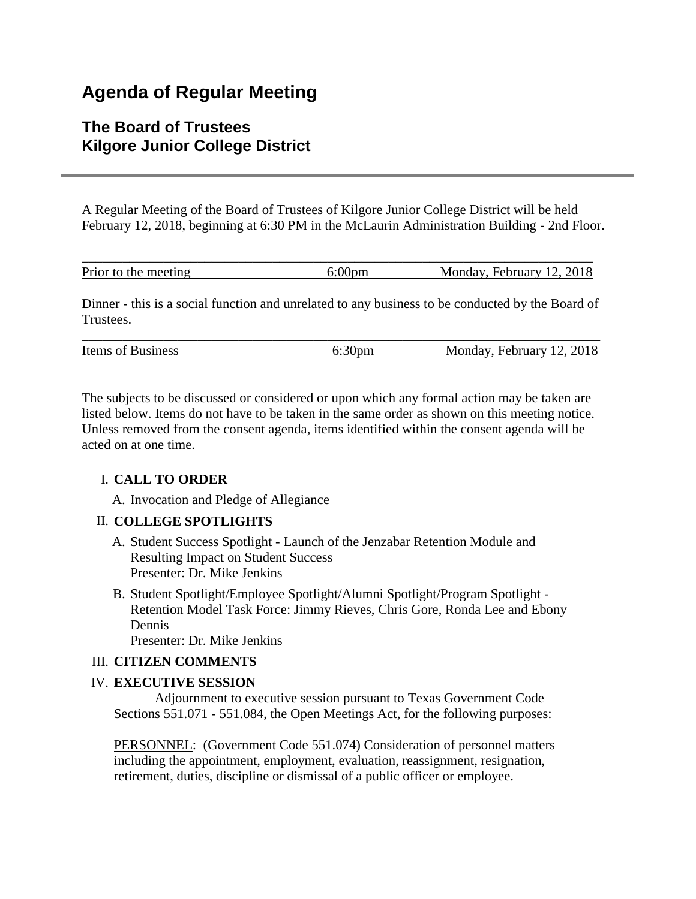# **Agenda of Regular Meeting**

# **The Board of Trustees Kilgore Junior College District**

A Regular Meeting of the Board of Trustees of Kilgore Junior College District will be held February 12, 2018, beginning at 6:30 PM in the McLaurin Administration Building - 2nd Floor.

| Prior to the meeting | Monday, February 12, 2018 |
|----------------------|---------------------------|

Dinner - this is a social function and unrelated to any business to be conducted by the Board of **Trustees** 

| <b>Items of Business</b> | 6:30pm | Monday, February 12, 2018 |
|--------------------------|--------|---------------------------|

The subjects to be discussed or considered or upon which any formal action may be taken are listed below. Items do not have to be taken in the same order as shown on this meeting notice. Unless removed from the consent agenda, items identified within the consent agenda will be acted on at one time.

## I. **CALL TO ORDER**

A. Invocation and Pledge of Allegiance

#### II. **COLLEGE SPOTLIGHTS**

- A. Student Success Spotlight Launch of the Jenzabar Retention Module and Resulting Impact on Student Success Presenter: Dr. Mike Jenkins
- B. Student Spotlight/Employee Spotlight/Alumni Spotlight/Program Spotlight Retention Model Task Force: Jimmy Rieves, Chris Gore, Ronda Lee and Ebony Dennis

Presenter: Dr. Mike Jenkins

#### III. **CITIZEN COMMENTS**

#### IV. **EXECUTIVE SESSION**

 Adjournment to executive session pursuant to Texas Government Code Sections 551.071 - 551.084, the Open Meetings Act, for the following purposes:

PERSONNEL: (Government Code 551.074) Consideration of personnel matters including the appointment, employment, evaluation, reassignment, resignation, retirement, duties, discipline or dismissal of a public officer or employee.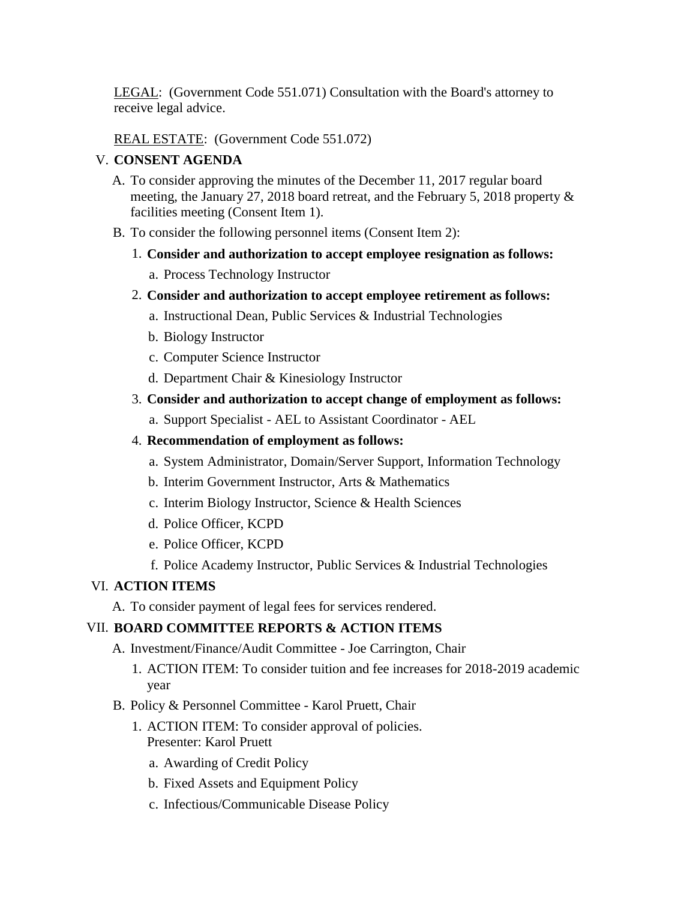LEGAL: (Government Code 551.071) Consultation with the Board's attorney to receive legal advice.

REAL ESTATE: (Government Code 551.072)

#### V. **CONSENT AGENDA**

- A. To consider approving the minutes of the December 11, 2017 regular board meeting, the January 27, 2018 board retreat, and the February 5, 2018 property & facilities meeting (Consent Item 1).
- B. To consider the following personnel items (Consent Item 2):
	- 1. **Consider and authorization to accept employee resignation as follows:**
		- a. Process Technology Instructor
	- 2. **Consider and authorization to accept employee retirement as follows:**
		- a. Instructional Dean, Public Services & Industrial Technologies
		- b. Biology Instructor
		- c. Computer Science Instructor
		- d. Department Chair & Kinesiology Instructor
	- 3. **Consider and authorization to accept change of employment as follows:**
		- a. Support Specialist AEL to Assistant Coordinator AEL

#### 4. **Recommendation of employment as follows:**

- a. System Administrator, Domain/Server Support, Information Technology
- b. Interim Government Instructor, Arts & Mathematics
- c. Interim Biology Instructor, Science & Health Sciences
- d. Police Officer, KCPD
- e. Police Officer, KCPD
- f. Police Academy Instructor, Public Services & Industrial Technologies

#### VI. **ACTION ITEMS**

A. To consider payment of legal fees for services rendered.

## VII. **BOARD COMMITTEE REPORTS & ACTION ITEMS**

- A. Investment/Finance/Audit Committee Joe Carrington, Chair
	- 1. ACTION ITEM: To consider tuition and fee increases for 2018-2019 academic year
- B. Policy & Personnel Committee Karol Pruett, Chair
	- 1. ACTION ITEM: To consider approval of policies. Presenter: Karol Pruett
		- a. Awarding of Credit Policy
		- b. Fixed Assets and Equipment Policy
		- c. Infectious/Communicable Disease Policy